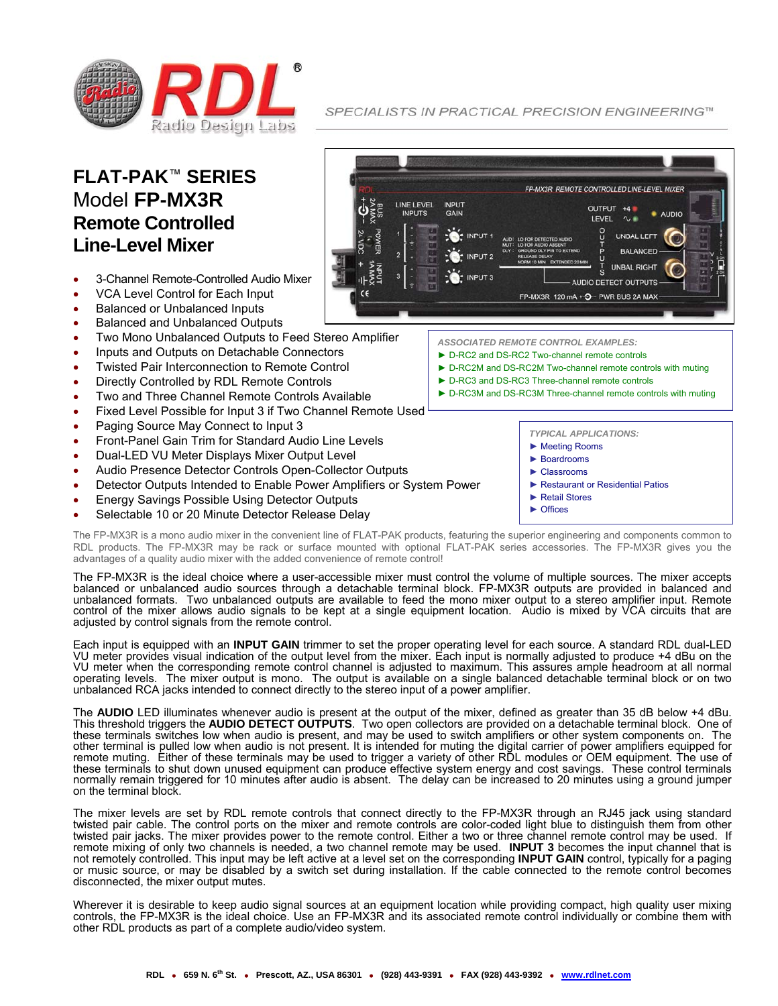

**FLAT-PAK**™ **SERIES** Model **FP-MX3R Remote Controlled Line-Level Mixer** 

- 3-Channel Remote-Controlled Audio Mixer
- VCA Level Control for Each Input
- Balanced or Unbalanced Inputs
- Balanced and Unbalanced Outputs
- Two Mono Unbalanced Outputs to Feed Stereo Amplifier
- Inputs and Outputs on Detachable Connectors
- Twisted Pair Interconnection to Remote Control
- Directly Controlled by RDL Remote Controls
- Two and Three Channel Remote Controls Available
- Fixed Level Possible for Input 3 if Two Channel Remote Used
- Paging Source May Connect to Input 3
- Front-Panel Gain Trim for Standard Audio Line Levels
- Dual-LED VU Meter Displays Mixer Output Level
- Audio Presence Detector Controls Open-Collector Outputs
- Detector Outputs Intended to Enable Power Amplifiers or System Power
- Energy Savings Possible Using Detector Outputs
- Selectable 10 or 20 Minute Detector Release Delay

The FP-MX3R is a mono audio mixer in the convenient line of FLAT-PAK products, featuring the superior engineering and components common to RDL products. The FP-MX3R may be rack or surface mounted with optional FLAT-PAK series accessories. The FP-MX3R gives you the advantages of a quality audio mixer with the added convenience of remote control!

The FP-MX3R is the ideal choice where a user-accessible mixer must control the volume of multiple sources. The mixer accepts balanced or unbalanced audio sources through a detachable terminal block. FP-MX3R outputs are provided in balanced and unbalanced formats. Two unbalanced outputs are available to feed the mono mixer output to a stereo amplifier input. Remote control of the mixer allows audio signals to be kept at a single equipment location. Audio is mixed by VCA circuits that are adjusted by control signals from the remote control.

Each input is equipped with an **INPUT GAIN** trimmer to set the proper operating level for each source. A standard RDL dual-LED VU meter provides visual indication of the output level from the mixer. Each input is normally adjusted to produce +4 dBu on the VU meter when the corresponding remote control channel is adjusted to maximum. This assures ample headroom at all normal operating levels. The mixer output is mono. The output is available on a single balanced detachable terminal block or on two unbalanced RCA jacks intended to connect directly to the stereo input of a power amplifier.

The **AUDIO** LED illuminates whenever audio is present at the output of the mixer, defined as greater than 35 dB below +4 dBu. This threshold triggers the **AUDIO DETECT OUTPUTS**. Two open collectors are provided on a detachable terminal block. One of these terminals switches low when audio is present, and may be used to switch amplifiers or other system components on. The other terminal is pulled low when audio is not present. It is intended for muting the digital carrier of power amplifiers equipped for remote muting. Either of these terminals may be used to trigger a variety of other RDL modules or OEM equipment. The use of these terminals to shut down unused equipment can produce effective system energy and cost savings. These control terminals normally remain triggered for 10 minutes after audio is absent. The delay can be increased to 20 minutes using a ground jumper on the terminal block.

The mixer levels are set by RDL remote controls that connect directly to the FP-MX3R through an RJ45 jack using standard twisted pair cable. The control ports on the mixer and remote controls are color-coded light blue to distinguish them from other twisted pair jacks. The mixer provides power to the remote control. Either a two or three channel remote control may be used. If remote mixing of only two channels is needed, a two channel remote may be used. **INPUT 3** becomes the input channel that is not remotely controlled. This input may be left active at a level set on the corresponding **INPUT GAIN** control, typically for a paging or music source, or may be disabled by a switch set during installation. If the cable connected to the remote control becomes disconnected, the mixer output mutes.

Wherever it is desirable to keep audio signal sources at an equipment location while providing compact, high quality user mixing controls, the FP-MX3R is the ideal choice. Use an FP-MX3R and its associated remote control individually or combine them with other RDL products as part of a complete audio/video system.

SPECIALISTS IN PRACTICAL PRECISION ENGINEERING™



► D-RC2 and DS-RC2 Two-channel remote controls

► Retail Stores ► Offices

- ► D-RC2M and DS-RC2M Two-channel remote controls with muting
- ► D-RC3 and DS-RC3 Three-channel remote controls
- ► D-RC3M and DS-RC3M Three-channel remote controls with muting

*TYPICAL APPLICATIONS:*  ► Meeting Rooms ► Boardrooms ► Classrooms

► Restaurant or Residential Patios